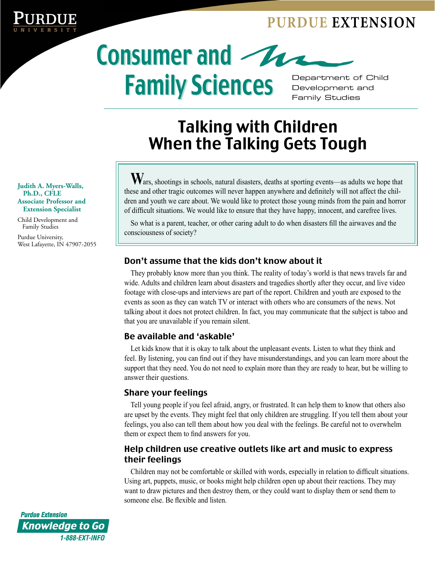### **PURDUE EXTENSION**



# Family Sciences Department of Child

Development and Family Studies

## Talking with Children When the Talking Gets Tough

Wars, shootings in schools, natural disasters, deaths at sporting events—as adults we hope that these and other tragic outcomes will never happen anywhere and definitely will not affect the children and youth we care about. We would like to protect those young minds from the pain and horror of difficult situations. We would like to ensure that they have happy, innocent, and carefree lives.

So what is a parent, teacher, or other caring adult to do when disasters fill the airwaves and the consciousness of society?

#### Don't assume that the kids don't know about it

They probably know more than you think. The reality of today's world is that news travels far and wide. Adults and children learn about disasters and tragedies shortly after they occur, and live video footage with close-ups and interviews are part of the report. Children and youth are exposed to the events as soon as they can watch TV or interact with others who are consumers of the news. Not talking about it does not protect children. In fact, you may communicate that the subject is taboo and that you are unavailable if you remain silent.

#### Be available and 'askable'

Let kids know that it is okay to talk about the unpleasant events. Listen to what they think and feel. By listening, you can find out if they have misunderstandings, and you can learn more about the support that they need. You do not need to explain more than they are ready to hear, but be willing to answer their questions.

#### Share your feelings

Tell young people if you feel afraid, angry, or frustrated. It can help them to know that others also are upset by the events. They might feel that only children are struggling. If you tell them about your feelings, you also can tell them about how you deal with the feelings. Be careful not to overwhelm them or expect them to find answers for you.

#### Help children use creative outlets like art and music to express their feelings

Children may not be comfortable or skilled with words, especially in relation to difficult situations. Using art, puppets, music, or books might help children open up about their reactions. They may want to draw pictures and then destroy them, or they could want to display them or send them to someone else. Be flexible and listen.

**Judith A. Myers-Walls, Ph.D., CFLE Associate Professor and Extension Specialist**

Child Development and Family Studies

Purdue University, West Lafayette, IN 47907-2055